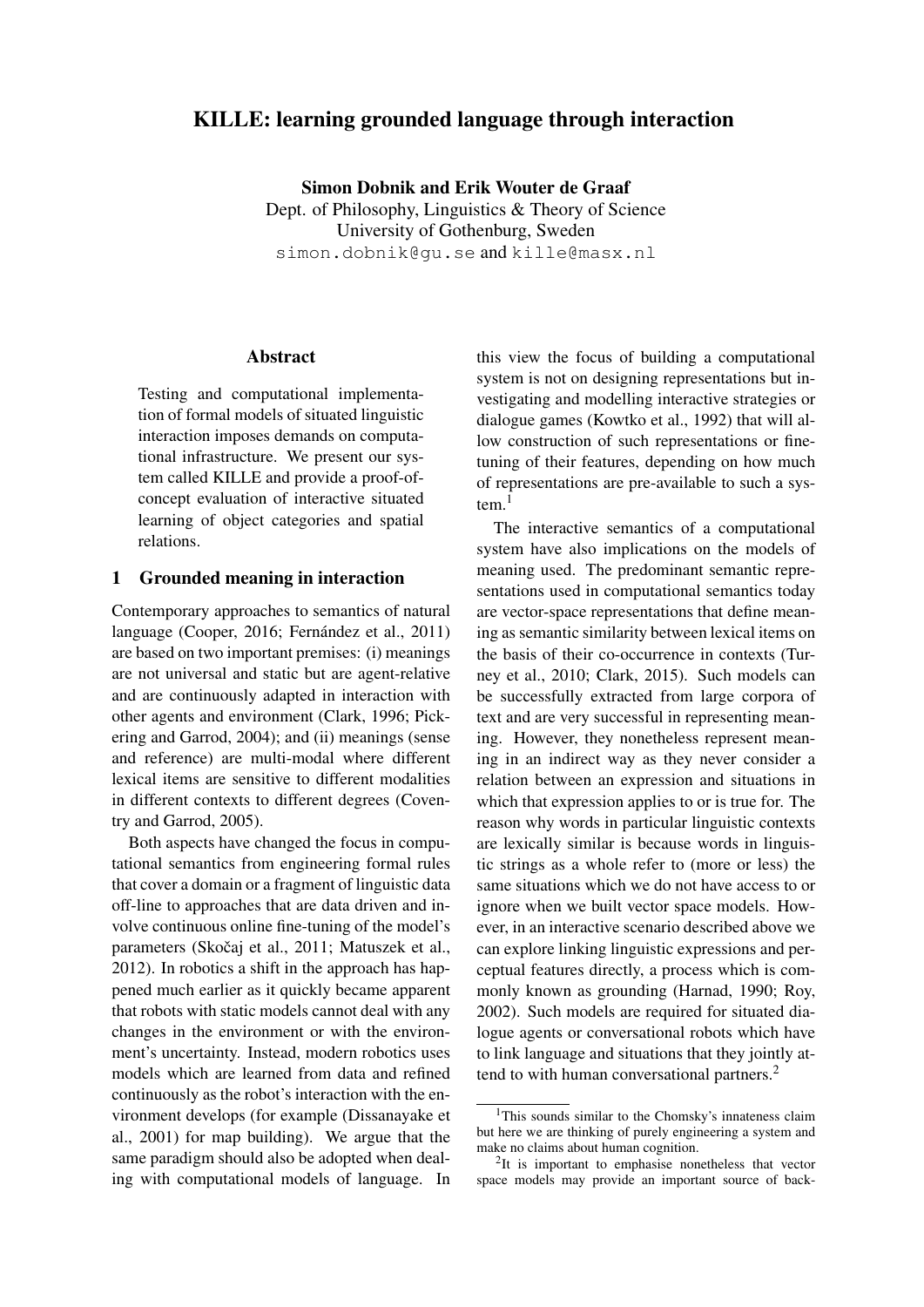# KILLE: learning grounded language through interaction

Simon Dobnik and Erik Wouter de Graaf Dept. of Philosophy, Linguistics & Theory of Science University of Gothenburg, Sweden simon.dobnik@gu.se and kille@masx.nl

## **Abstract**

Testing and computational implementation of formal models of situated linguistic interaction imposes demands on computational infrastructure. We present our system called KILLE and provide a proof-ofconcept evaluation of interactive situated learning of object categories and spatial relations.

## 1 Grounded meaning in interaction

Contemporary approaches to semantics of natural language (Cooper, 2016; Fernández et al., 2011) are based on two important premises: (i) meanings are not universal and static but are agent-relative and are continuously adapted in interaction with other agents and environment (Clark, 1996; Pickering and Garrod, 2004); and (ii) meanings (sense and reference) are multi-modal where different lexical items are sensitive to different modalities in different contexts to different degrees (Coventry and Garrod, 2005).

Both aspects have changed the focus in computational semantics from engineering formal rules that cover a domain or a fragment of linguistic data off-line to approaches that are data driven and involve continuous online fine-tuning of the model's parameters (Skočaj et al., 2011; Matuszek et al., 2012). In robotics a shift in the approach has happened much earlier as it quickly became apparent that robots with static models cannot deal with any changes in the environment or with the environment's uncertainty. Instead, modern robotics uses models which are learned from data and refined continuously as the robot's interaction with the environment develops (for example (Dissanayake et al., 2001) for map building). We argue that the same paradigm should also be adopted when dealing with computational models of language. In

this view the focus of building a computational system is not on designing representations but investigating and modelling interactive strategies or dialogue games (Kowtko et al., 1992) that will allow construction of such representations or finetuning of their features, depending on how much of representations are pre-available to such a system $1$ 

The interactive semantics of a computational system have also implications on the models of meaning used. The predominant semantic representations used in computational semantics today are vector-space representations that define meaning as semantic similarity between lexical items on the basis of their co-occurrence in contexts (Turney et al., 2010; Clark, 2015). Such models can be successfully extracted from large corpora of text and are very successful in representing meaning. However, they nonetheless represent meaning in an indirect way as they never consider a relation between an expression and situations in which that expression applies to or is true for. The reason why words in particular linguistic contexts are lexically similar is because words in linguistic strings as a whole refer to (more or less) the same situations which we do not have access to or ignore when we built vector space models. However, in an interactive scenario described above we can explore linking linguistic expressions and perceptual features directly, a process which is commonly known as grounding (Harnad, 1990; Roy, 2002). Such models are required for situated dialogue agents or conversational robots which have to link language and situations that they jointly attend to with human conversational partners.<sup>2</sup>

<sup>&</sup>lt;sup>1</sup>This sounds similar to the Chomsky's innateness claim but here we are thinking of purely engineering a system and make no claims about human cognition.

<sup>&</sup>lt;sup>2</sup>It is important to emphasise nonetheless that vector space models may provide an important source of back-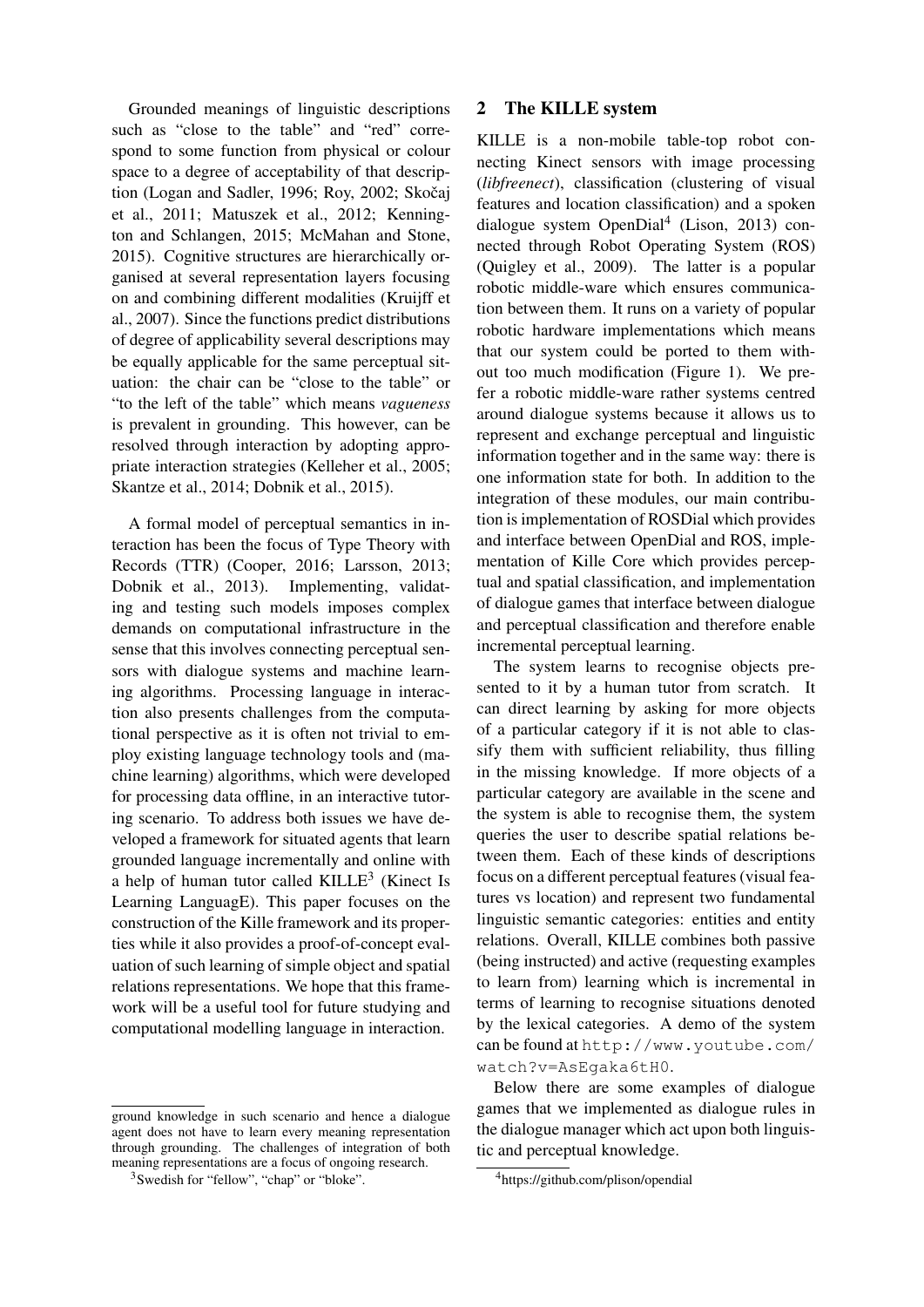Grounded meanings of linguistic descriptions such as "close to the table" and "red" correspond to some function from physical or colour space to a degree of acceptability of that description (Logan and Sadler, 1996; Roy, 2002; Skočaj et al., 2011; Matuszek et al., 2012; Kennington and Schlangen, 2015; McMahan and Stone, 2015). Cognitive structures are hierarchically organised at several representation layers focusing on and combining different modalities (Kruijff et al., 2007). Since the functions predict distributions of degree of applicability several descriptions may be equally applicable for the same perceptual situation: the chair can be "close to the table" or "to the left of the table" which means *vagueness* is prevalent in grounding. This however, can be resolved through interaction by adopting appropriate interaction strategies (Kelleher et al., 2005; Skantze et al., 2014; Dobnik et al., 2015).

A formal model of perceptual semantics in interaction has been the focus of Type Theory with Records (TTR) (Cooper, 2016; Larsson, 2013; Dobnik et al., 2013). Implementing, validating and testing such models imposes complex demands on computational infrastructure in the sense that this involves connecting perceptual sensors with dialogue systems and machine learning algorithms. Processing language in interaction also presents challenges from the computational perspective as it is often not trivial to employ existing language technology tools and (machine learning) algorithms, which were developed for processing data offline, in an interactive tutoring scenario. To address both issues we have developed a framework for situated agents that learn grounded language incrementally and online with a help of human tutor called  $KILLE<sup>3</sup>$  (Kinect Is Learning LanguagE). This paper focuses on the construction of the Kille framework and its properties while it also provides a proof-of-concept evaluation of such learning of simple object and spatial relations representations. We hope that this framework will be a useful tool for future studying and computational modelling language in interaction.

ground knowledge in such scenario and hence a dialogue agent does not have to learn every meaning representation through grounding. The challenges of integration of both meaning representations are a focus of ongoing research.

## 2 The KILLE system

KILLE is a non-mobile table-top robot connecting Kinect sensors with image processing (*libfreenect*), classification (clustering of visual features and location classification) and a spoken dialogue system OpenDial<sup>4</sup> (Lison, 2013) connected through Robot Operating System (ROS) (Quigley et al., 2009). The latter is a popular robotic middle-ware which ensures communication between them. It runs on a variety of popular robotic hardware implementations which means that our system could be ported to them without too much modification (Figure 1). We prefer a robotic middle-ware rather systems centred around dialogue systems because it allows us to represent and exchange perceptual and linguistic information together and in the same way: there is one information state for both. In addition to the integration of these modules, our main contribution is implementation of ROSDial which provides and interface between OpenDial and ROS, implementation of Kille Core which provides perceptual and spatial classification, and implementation of dialogue games that interface between dialogue and perceptual classification and therefore enable incremental perceptual learning.

The system learns to recognise objects presented to it by a human tutor from scratch. It can direct learning by asking for more objects of a particular category if it is not able to classify them with sufficient reliability, thus filling in the missing knowledge. If more objects of a particular category are available in the scene and the system is able to recognise them, the system queries the user to describe spatial relations between them. Each of these kinds of descriptions focus on a different perceptual features (visual features vs location) and represent two fundamental linguistic semantic categories: entities and entity relations. Overall, KILLE combines both passive (being instructed) and active (requesting examples to learn from) learning which is incremental in terms of learning to recognise situations denoted by the lexical categories. A demo of the system can be found at http://www.youtube.com/ watch?v=AsEgaka6tH0.

Below there are some examples of dialogue games that we implemented as dialogue rules in the dialogue manager which act upon both linguistic and perceptual knowledge.

<sup>3</sup>Swedish for "fellow", "chap" or "bloke".

<sup>4</sup>https://github.com/plison/opendial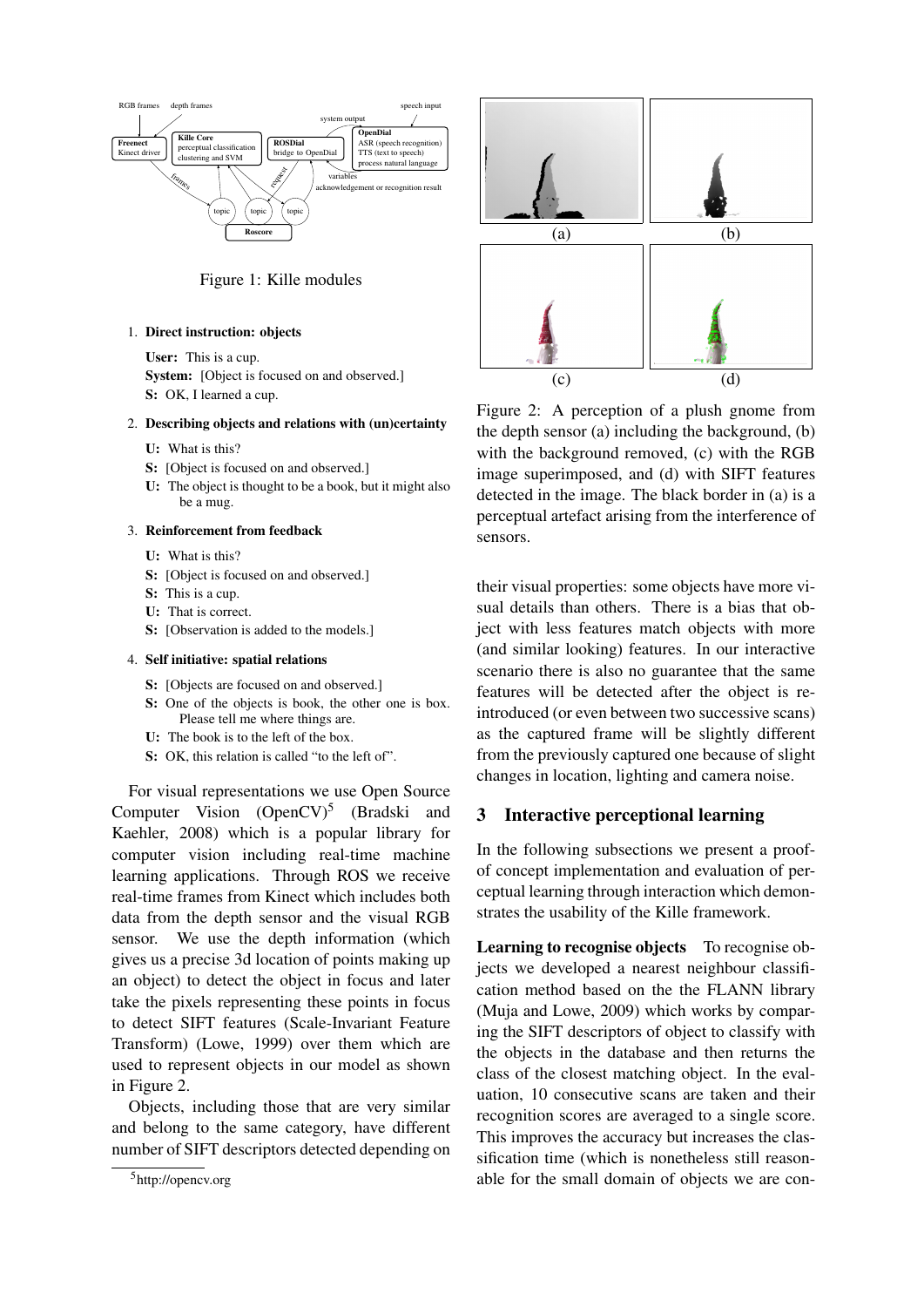

Figure 1: Kille modules

## 1. Direct instruction: objects

User: This is a cup. System: [Object is focused on and observed.] S: OK, I learned a cup.

#### 2. Describing objects and relations with (un)certainty

- U: What is this?
- S: [Object is focused on and observed.]
- U: The object is thought to be a book, but it might also be a mug.

#### 3. Reinforcement from feedback

- U: What is this?
- S: [Object is focused on and observed.]
- S: This is a cup.
- U: That is correct.
- S: [Observation is added to the models.]

#### 4. Self initiative: spatial relations

- S: [Objects are focused on and observed.]
- S: One of the objects is book, the other one is box. Please tell me where things are.
- U: The book is to the left of the box.
- S: OK, this relation is called "to the left of".

For visual representations we use Open Source Computer Vision  $(DpenCV)^5$  (Bradski and Kaehler, 2008) which is a popular library for computer vision including real-time machine learning applications. Through ROS we receive real-time frames from Kinect which includes both data from the depth sensor and the visual RGB sensor. We use the depth information (which gives us a precise 3d location of points making up an object) to detect the object in focus and later take the pixels representing these points in focus to detect SIFT features (Scale-Invariant Feature Transform) (Lowe, 1999) over them which are used to represent objects in our model as shown in Figure 2.

Objects, including those that are very similar and belong to the same category, have different number of SIFT descriptors detected depending on



Figure 2: A perception of a plush gnome from the depth sensor (a) including the background, (b) with the background removed, (c) with the RGB image superimposed, and (d) with SIFT features detected in the image. The black border in (a) is a perceptual artefact arising from the interference of sensors.

their visual properties: some objects have more visual details than others. There is a bias that object with less features match objects with more (and similar looking) features. In our interactive scenario there is also no guarantee that the same features will be detected after the object is reintroduced (or even between two successive scans) as the captured frame will be slightly different from the previously captured one because of slight changes in location, lighting and camera noise.

## 3 Interactive perceptional learning

In the following subsections we present a proofof concept implementation and evaluation of perceptual learning through interaction which demonstrates the usability of the Kille framework.

Learning to recognise objects To recognise objects we developed a nearest neighbour classification method based on the the FLANN library (Muja and Lowe, 2009) which works by comparing the SIFT descriptors of object to classify with the objects in the database and then returns the class of the closest matching object. In the evaluation, 10 consecutive scans are taken and their recognition scores are averaged to a single score. This improves the accuracy but increases the classification time (which is nonetheless still reasonable for the small domain of objects we are con-

<sup>5</sup>http://opencv.org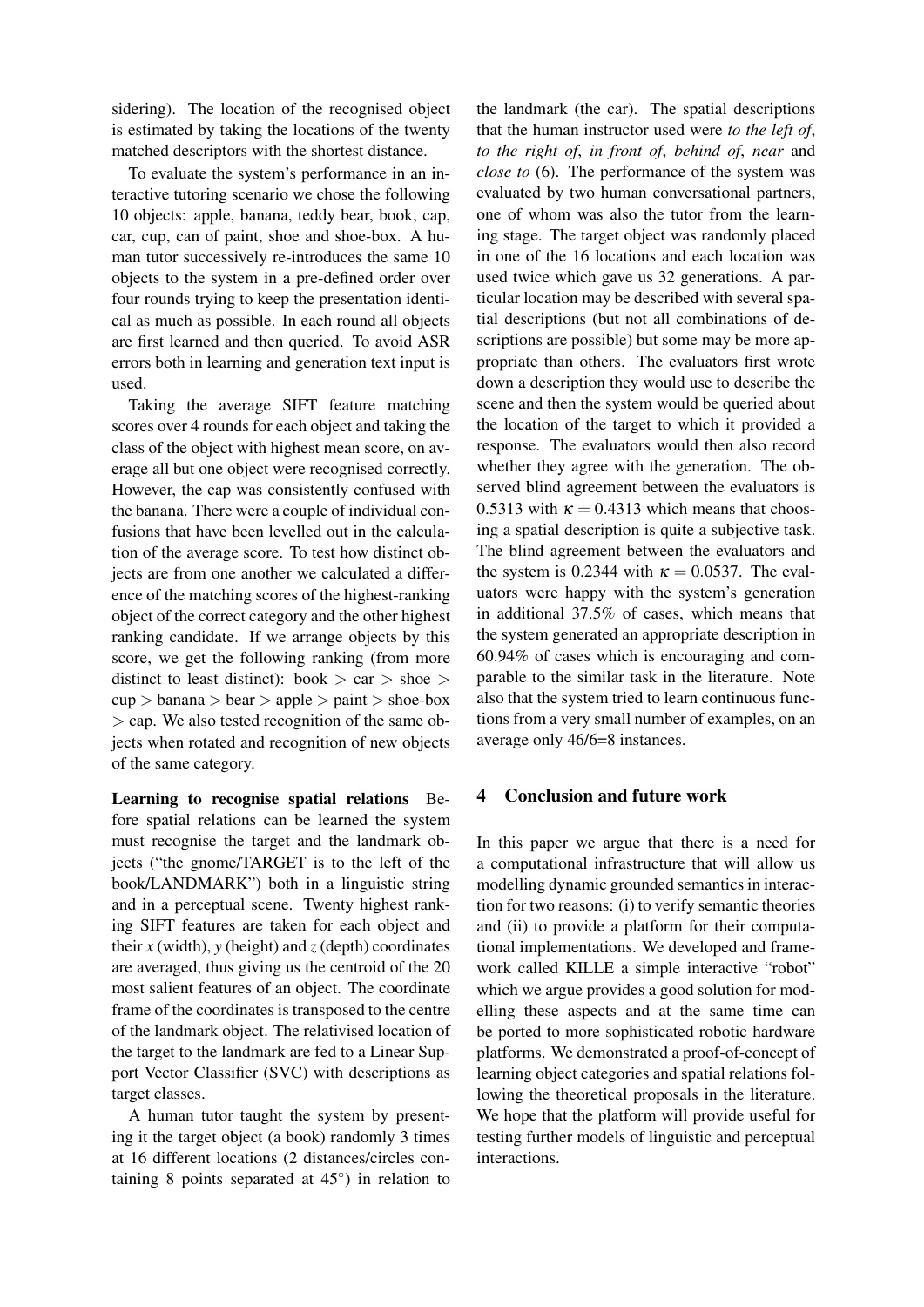sidering). The location of the recognised object is estimated by taking the locations of the twenty matched descriptors with the shortest distance.

To evaluate the system's performance in an interactive tutoring scenario we chose the following 10 objects: apple, banana, teddy bear, book, cap, car, cup, can of paint, shoe and shoe-box. A human tutor successively re-introduces the same 10 objects to the system in a pre-defined order over four rounds trying to keep the presentation identical as much as possible. In each round all objects are first learned and then queried. To avoid ASR errors both in learning and generation text input is used.

Taking the average SIFT feature matching scores over 4 rounds for each object and taking the class of the object with highest mean score, on average all but one object were recognised correctly. However, the cap was consistently confused with the banana. There were a couple of individual confusions that have been levelled out in the calculation of the average score. To test how distinct objects are from one another we calculated a difference of the matching scores of the highest-ranking object of the correct category and the other highest ranking candidate. If we arrange objects by this score, we get the following ranking (from more distinct to least distinct): book  $>$  car  $>$  shoe  $>$  $cup > b$ anana  $> b$ ear  $>$  apple  $>$  paint  $>$  shoe-box  $>$  cap. We also tested recognition of the same objects when rotated and recognition of new objects of the same category.

Learning to recognise spatial relations Before spatial relations can be learned the system must recognise the target and the landmark objects ("the gnome/TARGET is to the left of the book/LANDMARK") both in a linguistic string and in a perceptual scene. Twenty highest ranking SIFT features are taken for each object and their  $x$  (width),  $y$  (height) and  $z$  (depth) coordinates are averaged, thus giving us the centroid of the 20 most salient features of an object. The coordinate frame of the coordinates is transposed to the centre of the landmark object. The relativised location of the target to the landmark are fed to a Linear Support Vector Classifier (SVC) with descriptions as target classes.

A human tutor taught the system by presenting it the target object (a book) randomly 3 times at 16 different locations (2 distances/circles containing 8 points separated at  $45^{\circ}$ ) in relation to

the landmark (the car). The spatial descriptions that the human instructor used were *to the left of*, *to the right of*, *in front of*, *behind of*, *near* and *close to* (6). The performance of the system was evaluated by two human conversational partners, one of whom was also the tutor from the learning stage. The target object was randomly placed in one of the 16 locations and each location was used twice which gave us 32 generations. A particular location may be described with several spatial descriptions (but not all combinations of descriptions are possible) but some may be more appropriate than others. The evaluators first wrote down a description they would use to describe the scene and then the system would be queried about the location of the target to which it provided a response. The evaluators would then also record whether they agree with the generation. The observed blind agreement between the evaluators is 0.5313 with  $\kappa = 0.4313$  which means that choosing a spatial description is quite a subjective task. The blind agreement between the evaluators and the system is 0.2344 with  $\kappa = 0.0537$ . The evaluators were happy with the system's generation in additional 37.5% of cases, which means that the system generated an appropriate description in 60.94% of cases which is encouraging and comparable to the similar task in the literature. Note also that the system tried to learn continuous functions from a very small number of examples, on an average only 46/6=8 instances.

## 4 Conclusion and future work

In this paper we argue that there is a need for a computational infrastructure that will allow us modelling dynamic grounded semantics in interaction for two reasons: (i) to verify semantic theories and (ii) to provide a platform for their computational implementations. We developed and framework called KILLE a simple interactive "robot" which we argue provides a good solution for modelling these aspects and at the same time can be ported to more sophisticated robotic hardware platforms. We demonstrated a proof-of-concept of learning object categories and spatial relations following the theoretical proposals in the literature. We hope that the platform will provide useful for testing further models of linguistic and perceptual interactions.